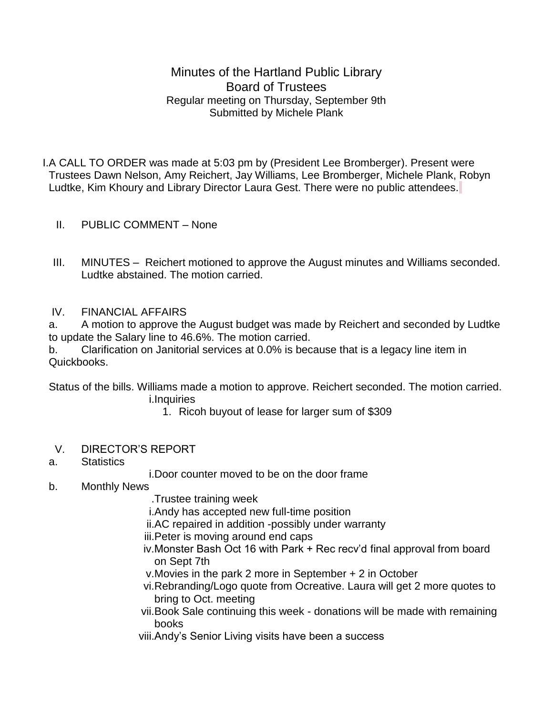Minutes of the Hartland Public Library Board of Trustees Regular meeting on Thursday, September 9th Submitted by Michele Plank

I.A CALL TO ORDER was made at 5:03 pm by (President Lee Bromberger). Present were Trustees Dawn Nelson, Amy Reichert, Jay Williams, Lee Bromberger, Michele Plank, Robyn Ludtke, Kim Khoury and Library Director Laura Gest. There were no public attendees.

- II. PUBLIC COMMENT None
- III. MINUTES Reichert motioned to approve the August minutes and Williams seconded. Ludtke abstained. The motion carried.

## IV. FINANCIAL AFFAIRS

a. A motion to approve the August budget was made by Reichert and seconded by Ludtke to update the Salary line to 46.6%. The motion carried.

b. Clarification on Janitorial services at 0.0% is because that is a legacy line item in Quickbooks.

Status of the bills. Williams made a motion to approve. Reichert seconded. The motion carried. i.Inquiries

- 1. Ricoh buyout of lease for larger sum of \$309
- V. DIRECTOR'S REPORT
- a. Statistics

i.Door counter moved to be on the door frame

- b. Monthly News
	- .Trustee training week
	- i.Andy has accepted new full-time position
	- ii.AC repaired in addition -possibly under warranty
	- iii.Peter is moving around end caps
	- iv.Monster Bash Oct 16 with Park + Rec recv'd final approval from board on Sept 7th
	- v.Movies in the park 2 more in September + 2 in October
	- vi.Rebranding/Logo quote from Ocreative. Laura will get 2 more quotes to bring to Oct. meeting
	- vii.Book Sale continuing this week donations will be made with remaining books
	- viii.Andy's Senior Living visits have been a success